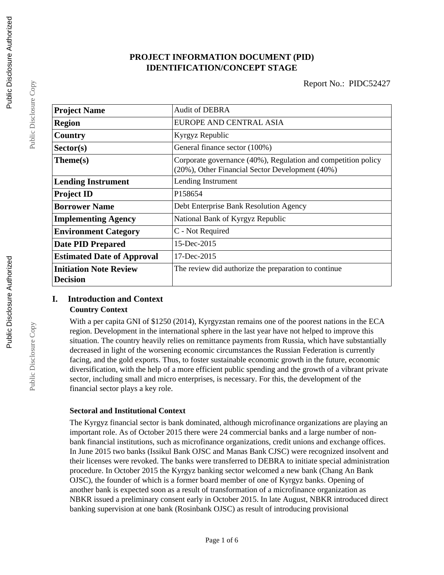### **PROJECT INFORMATION DOCUMENT (PID) IDENTIFICATION/CONCEPT STAGE**

| <b>Project Name</b>                              | <b>Audit of DEBRA</b>                                                                                            |  |  |
|--------------------------------------------------|------------------------------------------------------------------------------------------------------------------|--|--|
| <b>Region</b>                                    | EUROPE AND CENTRAL ASIA                                                                                          |  |  |
| Country                                          | Kyrgyz Republic                                                                                                  |  |  |
| Sector(s)                                        | General finance sector (100%)                                                                                    |  |  |
| Theme(s)                                         | Corporate governance (40%), Regulation and competition policy<br>(20%), Other Financial Sector Development (40%) |  |  |
| <b>Lending Instrument</b>                        | Lending Instrument                                                                                               |  |  |
| <b>Project ID</b>                                | P158654                                                                                                          |  |  |
| <b>Borrower Name</b>                             | Debt Enterprise Bank Resolution Agency                                                                           |  |  |
| <b>Implementing Agency</b>                       | National Bank of Kyrgyz Republic                                                                                 |  |  |
| <b>Environment Category</b>                      | C - Not Required                                                                                                 |  |  |
| <b>Date PID Prepared</b>                         | 15-Dec-2015                                                                                                      |  |  |
| <b>Estimated Date of Approval</b>                | $17 - Dec-2015$                                                                                                  |  |  |
| <b>Initiation Note Review</b><br><b>Decision</b> | The review did authorize the preparation to continue                                                             |  |  |

# **I. Introduction and Context**

#### **Country Context**

With a per capita GNI of \$1250 (2014), Kyrgyzstan remains one of the poorest nations in the ECA region. Development in the international sphere in the last year have not helped to improve this situation. The country heavily relies on remittance payments from Russia, which have substantially decreased in light of the worsening economic circumstances the Russian Federation is currently facing, and the gold exports. Thus, to foster sustainable economic growth in the future, economic diversification, with the help of a more efficient public spending and the growth of a vibrant private sector, including small and micro enterprises, is necessary. For this, the development of the financial sector plays a key role.

#### **Sectoral and Institutional Context**

The Kyrgyz financial sector is bank dominated, although microfinance organizations are playing an important role. As of October 2015 there were 24 commercial banks and a large number of nonbank financial institutions, such as microfinance organizations, credit unions and exchange offices. In June 2015 two banks (Issikul Bank OJSC and Manas Bank CJSC) were recognized insolvent and their licenses were revoked. The banks were transferred to DEBRA to initiate special administration procedure. In October 2015 the Kyrgyz banking sector welcomed a new bank (Chang An Bank OJSC), the founder of which is a former board member of one of Kyrgyz banks. Opening of another bank is expected soon as a result of transformation of a microfinance organization as NBKR issued a preliminary consent early in October 2015. In late August, NBKR introduced direct banking supervision at one bank (Rosinbank OJSC) as result of introducing provisional

Public Disclosure Copy

Public Disclosure Copy

Public Disclosure Copy

Public Disclosure Copy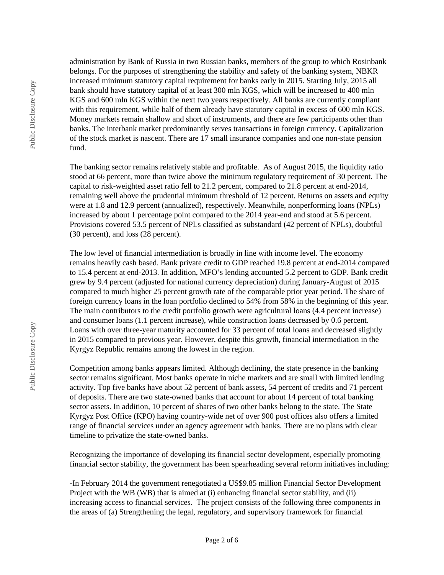Public Disclosure Copy Public Disclosure Copy

administration by Bank of Russia in two Russian banks, members of the group to which Rosinbank belongs. For the purposes of strengthening the stability and safety of the banking system, NBKR increased minimum statutory capital requirement for banks early in 2015. Starting July, 2015 all bank should have statutory capital of at least 300 mln KGS, which will be increased to 400 mln KGS and 600 mln KGS within the next two years respectively. All banks are currently compliant with this requirement, while half of them already have statutory capital in excess of 600 mln KGS. Money markets remain shallow and short of instruments, and there are few participants other than banks. The interbank market predominantly serves transactions in foreign currency. Capitalization of the stock market is nascent. There are 17 small insurance companies and one non-state pension fund.

The banking sector remains relatively stable and profitable. As of August 2015, the liquidity ratio stood at 66 percent, more than twice above the minimum regulatory requirement of 30 percent. The capital to risk-weighted asset ratio fell to 21.2 percent, compared to 21.8 percent at end-2014, remaining well above the prudential minimum threshold of 12 percent. Returns on assets and equity were at 1.8 and 12.9 percent (annualized), respectively. Meanwhile, nonperforming loans (NPLs) increased by about 1 percentage point compared to the 2014 year-end and stood at 5.6 percent. Provisions covered 53.5 percent of NPLs classified as substandard (42 percent of NPLs), doubtful (30 percent), and loss (28 percent).

The low level of financial intermediation is broadly in line with income level. The economy remains heavily cash based. Bank private credit to GDP reached 19.8 percent at end-2014 compared to 15.4 percent at end-2013. In addition, MFO's lending accounted 5.2 percent to GDP. Bank credit grew by 9.4 percent (adjusted for national currency depreciation) during January-August of 2015 compared to much higher 25 percent growth rate of the comparable prior year period. The share of foreign currency loans in the loan portfolio declined to 54% from 58% in the beginning of this year. The main contributors to the credit portfolio growth were agricultural loans (4.4 percent increase) and consumer loans (1.1 percent increase), while construction loans decreased by 0.6 percent. Loans with over three-year maturity accounted for 33 percent of total loans and decreased slightly in 2015 compared to previous year. However, despite this growth, financial intermediation in the Kyrgyz Republic remains among the lowest in the region.

Competition among banks appears limited. Although declining, the state presence in the banking sector remains significant. Most banks operate in niche markets and are small with limited lending activity. Top five banks have about 52 percent of bank assets, 54 percent of credits and 71 percent of deposits. There are two state-owned banks that account for about 14 percent of total banking sector assets. In addition, 10 percent of shares of two other banks belong to the state. The State Kyrgyz Post Office (KPO) having country-wide net of over 900 post offices also offers a limited range of financial services under an agency agreement with banks. There are no plans with clear timeline to privatize the state-owned banks.

Recognizing the importance of developing its financial sector development, especially promoting financial sector stability, the government has been spearheading several reform initiatives including:

-In February 2014 the government renegotiated a US\$9.85 million Financial Sector Development Project with the WB (WB) that is aimed at (i) enhancing financial sector stability, and (ii) increasing access to financial services. The project consists of the following three components in the areas of (a) Strengthening the legal, regulatory, and supervisory framework for financial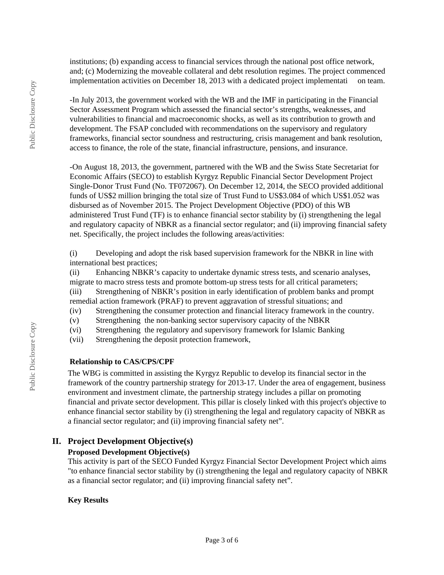institutions; (b) expanding access to financial services through the national post office network, and; (c) Modernizing the moveable collateral and debt resolution regimes. The project commenced implementation activities on December 18, 2013 with a dedicated project implementati on team.

-In July 2013, the government worked with the WB and the IMF in participating in the Financial Sector Assessment Program which assessed the financial sector's strengths, weaknesses, and vulnerabilities to financial and macroeconomic shocks, as well as its contribution to growth and development. The FSAP concluded with recommendations on the supervisory and regulatory frameworks, financial sector soundness and restructuring, crisis management and bank resolution, access to finance, the role of the state, financial infrastructure, pensions, and insurance.

-On August 18, 2013, the government, partnered with the WB and the Swiss State Secretariat for Economic Affairs (SECO) to establish Kyrgyz Republic Financial Sector Development Project Single-Donor Trust Fund (No. TF072067). On December 12, 2014, the SECO provided additional funds of US\$2 million bringing the total size of Trust Fund to US\$3.084 of which US\$1.052 was disbursed as of November 2015. The Project Development Objective (PDO) of this WB administered Trust Fund (TF) is to enhance financial sector stability by (i) strengthening the legal and regulatory capacity of NBKR as a financial sector regulator; and (ii) improving financial safety net. Specifically, the project includes the following areas/activities:

(i) Developing and adopt the risk based supervision framework for the NBKR in line with international best practices;

(ii) Enhancing NBKR's capacity to undertake dynamic stress tests, and scenario analyses, migrate to macro stress tests and promote bottom-up stress tests for all critical parameters;

(iii) Strengthening of NBKR's position in early identification of problem banks and prompt remedial action framework (PRAF) to prevent aggravation of stressful situations; and

(iv) Strengthening the consumer protection and financial literacy framework in the country.

(v) Strengthening the non-banking sector supervisory capacity of the NBKR

(vi) Strengthening the regulatory and supervisory framework for Islamic Banking

(vii) Strengthening the deposit protection framework,

#### **Relationship to CAS/CPS/CPF**

The WBG is committed in assisting the Kyrgyz Republic to develop its financial sector in the framework of the country partnership strategy for 2013-17. Under the area of engagement, business environment and investment climate, the partnership strategy includes a pillar on promoting financial and private sector development. This pillar is closely linked with this project's objective to enhance financial sector stability by (i) strengthening the legal and regulatory capacity of NBKR as a financial sector regulator; and (ii) improving financial safety net".

#### **II. Project Development Objective(s)**

#### **Proposed Development Objective(s)**

This activity is part of the SECO Funded Kyrgyz Financial Sector Development Project which aims "to enhance financial sector stability by (i) strengthening the legal and regulatory capacity of NBKR as a financial sector regulator; and (ii) improving financial safety net".

#### **Key Results**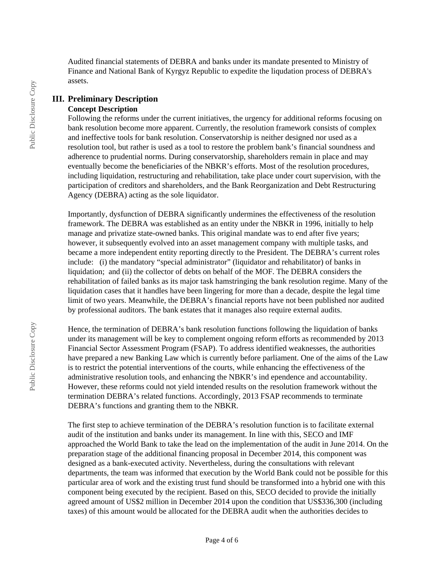Audited financial statements of DEBRA and banks under its mandate presented to Ministry of Finance and National Bank of Kyrgyz Republic to expedite the liqudation process of DEBRA's assets.

# **III. Preliminary Description**

#### **Concept Description**

Following the reforms under the current initiatives, the urgency for additional reforms focusing on bank resolution become more apparent. Currently, the resolution framework consists of complex and ineffective tools for bank resolution. Conservatorship is neither designed nor used as a resolution tool, but rather is used as a tool to restore the problem bank's financial soundness and adherence to prudential norms. During conservatorship, shareholders remain in place and may eventually become the beneficiaries of the NBKR's efforts. Most of the resolution procedures, including liquidation, restructuring and rehabilitation, take place under court supervision, with the participation of creditors and shareholders, and the Bank Reorganization and Debt Restructuring Agency (DEBRA) acting as the sole liquidator.

Importantly, dysfunction of DEBRA significantly undermines the effectiveness of the resolution framework. The DEBRA was established as an entity under the NBKR in 1996, initially to help manage and privatize state-owned banks. This original mandate was to end after five years; however, it subsequently evolved into an asset management company with multiple tasks, and became a more independent entity reporting directly to the President. The DEBRA's current roles include: (i) the mandatory "special administrator" (liquidator and rehabilitator) of banks in liquidation; and (ii) the collector of debts on behalf of the MOF. The DEBRA considers the rehabilitation of failed banks as its major task hamstringing the bank resolution regime. Many of the liquidation cases that it handles have been lingering for more than a decade, despite the legal time limit of two years. Meanwhile, the DEBRA's financial reports have not been published nor audited by professional auditors. The bank estates that it manages also require external audits.

Hence, the termination of DEBRA's bank resolution functions following the liquidation of banks under its management will be key to complement ongoing reform efforts as recommended by 2013 Financial Sector Assessment Program (FSAP). To address identified weaknesses, the authorities have prepared a new Banking Law which is currently before parliament. One of the aims of the Law is to restrict the potential interventions of the courts, while enhancing the effectiveness of the administrative resolution tools, and enhancing the NBKR's ind ependence and accountability. However, these reforms could not yield intended results on the resolution framework without the termination DEBRA's related functions. Accordingly, 2013 FSAP recommends to terminate DEBRA's functions and granting them to the NBKR.

The first step to achieve termination of the DEBRA's resolution function is to facilitate external audit of the institution and banks under its management. In line with this, SECO and IMF approached the World Bank to take the lead on the implementation of the audit in June 2014. On the preparation stage of the additional financing proposal in December 2014, this component was designed as a bank-executed activity. Nevertheless, during the consultations with relevant departments, the team was informed that execution by the World Bank could not be possible for this particular area of work and the existing trust fund should be transformed into a hybrid one with this component being executed by the recipient. Based on this, SECO decided to provide the initially agreed amount of US\$2 million in December 2014 upon the condition that US\$336,300 (including taxes) of this amount would be allocated for the DEBRA audit when the authorities decides to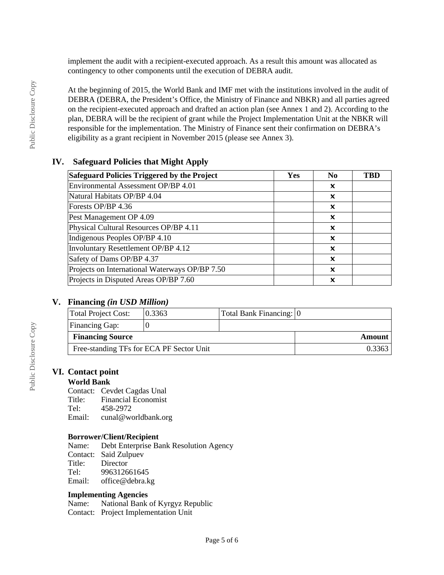implement the audit with a recipient-executed approach. As a result this amount was allocated as contingency to other components until the execution of DEBRA audit.

At the beginning of 2015, the World Bank and IMF met with the institutions involved in the audit of DEBRA (DEBRA, the President's Office, the Ministry of Finance and NBKR) and all parties agreed on the recipient-executed approach and drafted an action plan (see Annex 1 and 2). According to the plan, DEBRA will be the recipient of grant while the Project Implementation Unit at the NBKR will responsible for the implementation. The Ministry of Finance sent their confirmation on DEBRA's eligibility as a grant recipient in November 2015 (please see Annex 3).

#### **IV. Safeguard Policies that Might Apply**

| Safeguard Policies Triggered by the Project    | Yes | N <sub>0</sub>            | TBD |
|------------------------------------------------|-----|---------------------------|-----|
| Environmental Assessment OP/BP 4.01            |     | x                         |     |
| Natural Habitats OP/BP 4.04                    |     | x                         |     |
| Forests OP/BP 4.36                             |     | ×                         |     |
| Pest Management OP 4.09                        |     | x                         |     |
| Physical Cultural Resources OP/BP 4.11         |     | x                         |     |
| Indigenous Peoples OP/BP 4.10                  |     | x                         |     |
| Involuntary Resettlement OP/BP 4.12            |     | $\boldsymbol{\mathsf{x}}$ |     |
| Safety of Dams OP/BP 4.37                      |     | X                         |     |
| Projects on International Waterways OP/BP 7.50 |     | $\boldsymbol{\mathsf{x}}$ |     |
| Projects in Disputed Areas OP/BP 7.60          |     | x                         |     |

#### **V. Financing** *(in USD Million)*

| Total Project Cost:                      | 0.3363 | Total Bank Financing: 0 |  |
|------------------------------------------|--------|-------------------------|--|
| Financing Gap:                           |        |                         |  |
| <b>Financing Source</b>                  |        | Amount                  |  |
| Free-standing TFs for ECA PF Sector Unit |        | 0.3363                  |  |

#### **VI. Contact point**

#### **World Bank**

Contact: Cevdet Cagdas Unal Title: Financial Economist Tel: 458-2972 Email: cunal@worldbank.org

#### **Borrower/Client/Recipient**

Name: Debt Enterprise Bank Resolution Agency Contact: Said Zulpuev Title: Director<br>Tel: 9963126 996312661645 Email: office@debra.kg

# **Implementing Agencies**

National Bank of Kyrgyz Republic Contact: Project Implementation Unit